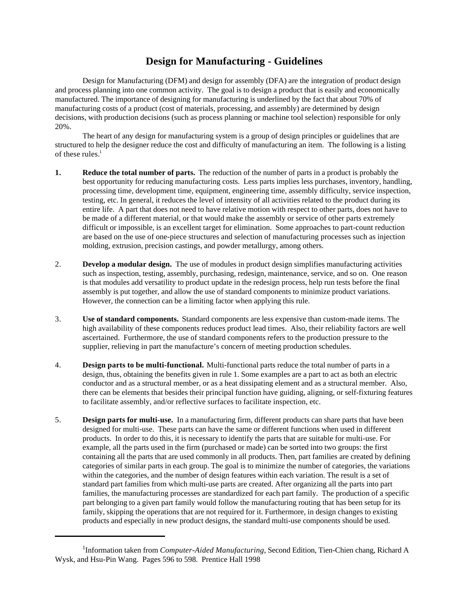## **Design for Manufacturing - Guidelines**

Design for Manufacturing (DFM) and design for assembly (DFA) are the integration of product design and process planning into one common activity. The goal is to design a product that is easily and economically manufactured. The importance of designing for manufacturing is underlined by the fact that about 70% of manufacturing costs of a product (cost of materials, processing, and assembly) are determined by design decisions, with production decisions (such as process planning or machine tool selection) responsible for only 20%.

The heart of any design for manufacturing system is a group of design principles or guidelines that are structured to help the designer reduce the cost and difficulty of manufacturing an item. The following is a listing of these rules. $<sup>1</sup>$ </sup>

- **1. Reduce the total number of parts.** The reduction of the number of parts in a product is probably the best opportunity for reducing manufacturing costs. Less parts implies less purchases, inventory, handling, processing time, development time, equipment, engineering time, assembly difficulty, service inspection, testing, etc. In general, it reduces the level of intensity of all activities related to the product during its entire life. A part that does not need to have relative motion with respect to other parts, does not have to be made of a different material, or that would make the assembly or service of other parts extremely difficult or impossible, is an excellent target for elimination. Some approaches to part-count reduction are based on the use of one-piece structures and selection of manufacturing processes such as injection molding, extrusion, precision castings, and powder metallurgy, among others.
- 2. **Develop a modular design.** The use of modules in product design simplifies manufacturing activities such as inspection, testing, assembly, purchasing, redesign, maintenance, service, and so on. One reason is that modules add versatility to product update in the redesign process, help run tests before the final assembly is put together, and allow the use of standard components to minimize product variations. However, the connection can be a limiting factor when applying this rule.
- 3. **Use of standard components.** Standard components are less expensive than custom-made items. The high availability of these components reduces product lead times. Also, their reliability factors are well ascertained. Furthermore, the use of standard components refers to the production pressure to the supplier, relieving in part the manufacture's concern of meeting production schedules.
- 4. **Design parts to be multi-functional.** Multi-functional parts reduce the total number of parts in a design, thus, obtaining the benefits given in rule 1. Some examples are a part to act as both an electric conductor and as a structural member, or as a heat dissipating element and as a structural member. Also, there can be elements that besides their principal function have guiding, aligning, or self-fixturing features to facilitate assembly, and/or reflective surfaces to facilitate inspection, etc.
- 5. **Design parts for multi-use.** In a manufacturing firm, different products can share parts that have been designed for multi-use. These parts can have the same or different functions when used in different products. In order to do this, it is necessary to identify the parts that are suitable for multi-use. For example, all the parts used in the firm (purchased or made) can be sorted into two groups: the first containing all the parts that are used commonly in all products. Then, part families are created by defining categories of similar parts in each group. The goal is to minimize the number of categories, the variations within the categories, and the number of design features within each variation. The result is a set of standard part families from which multi-use parts are created. After organizing all the parts into part families, the manufacturing processes are standardized for each part family. The production of a specific part belonging to a given part family would follow the manufacturing routing that has been setup for its family, skipping the operations that are not required for it. Furthermore, in design changes to existing products and especially in new product designs, the standard multi-use components should be used.

<sup>&</sup>lt;sup>1</sup>Information taken from *Computer-Aided Manufacturing*, Second Edition, Tien-Chien chang, Richard A Wysk, and Hsu-Pin Wang. Pages 596 to 598. Prentice Hall 1998